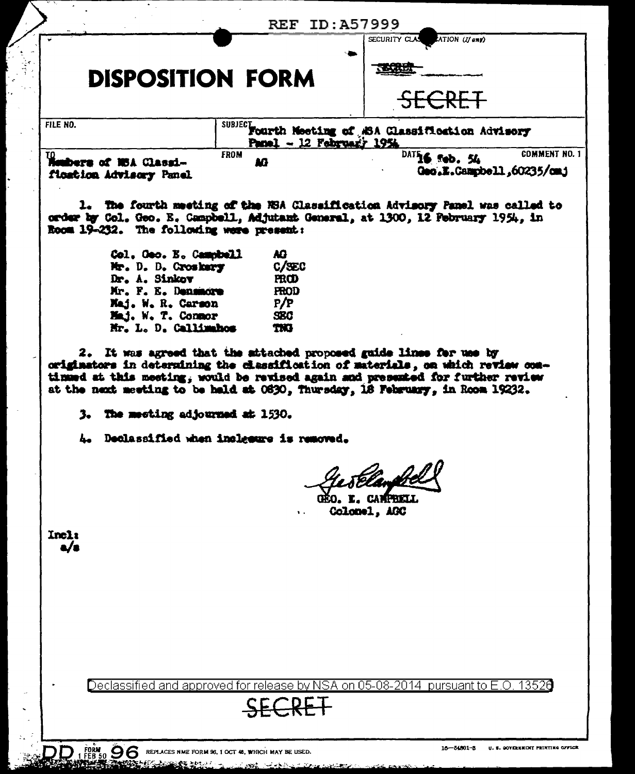| Monbers of NSA Classi-  | Panel - 12 February 1954<br><b>FROM</b><br>M          | <b>COMMENT NO. 1</b><br>$\overline{DATE}$ sob. 54<br>Geo.E.Campbell.60235/cmj |
|-------------------------|-------------------------------------------------------|-------------------------------------------------------------------------------|
| FILE NO.                | SUBJECT Fourth Meeting of ASA Classification Advisory |                                                                               |
|                         |                                                       | SECRET                                                                        |
| <b>DISPOSITION FORM</b> |                                                       | <b>ARLD</b>                                                                   |
|                         |                                                       | SECURITY CLAS<br>ATION (If any)                                               |

order by Col. Geo. E. Campbell, Adjutant General, at 1300, 12 Pebruary 1954, in Room 19-232. The following were present:

| Col. Geo. E. Campbell | AG.         |
|-----------------------|-------------|
| Mr. D. D. Croskery    | C/SEC       |
| Dr. A. Sinkov         | <b>FROD</b> |
| Mr. F. E. Densmore    | <b>FROD</b> |
| Maj. W. R. Carson     | P/P         |
| Maj. W. T. Conmor     | SBC.        |
| Mr. L. D. Callimahos  | TKB         |

2. It was agreed that the attached proposed guide lines for use by originators in determining the classification of materials, on which review comtinued at this meeting, would be revised again and presented for further review at the next meeting to be held at 0630, Thursday, 18 February, in Room 19232.

3. The meeting adjourned at 1530.

4. Declassified when incleasure is removed.

**FRETT.** Colonel, AGC

Incli  $\mathbf{v}$ 

> Declassified √SA on 05-08 201 pursuant to 13526 annroved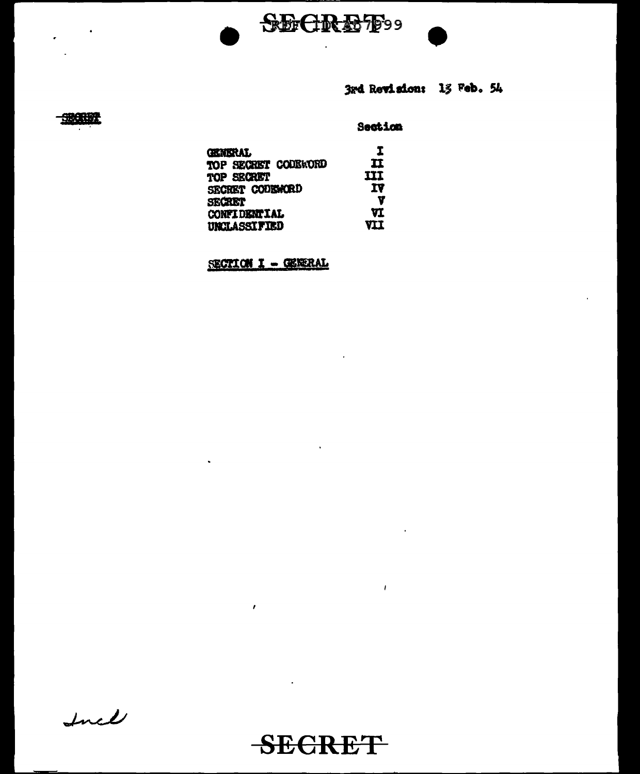

3rd Revision: 13 Feb. 54

# 一般乐观

 $\bullet$ 

÷

## Section

| GENERAL             | I   |
|---------------------|-----|
| TOP SECRET CODERORD | п   |
| TOP SECRET          | ш   |
| SECRET CODEWORD     | 1V  |
| SECRET              | Y   |
| <b>CONFIDENTIAL</b> | VI  |
| <b>UNCLASSIFIED</b> | VII |

SECTION I - GENERAL

 $\mathbf{v}$ 

 $\bar{r}$ 

Incl



 $\ddot{\phantom{a}}$ 

 $\sim 1$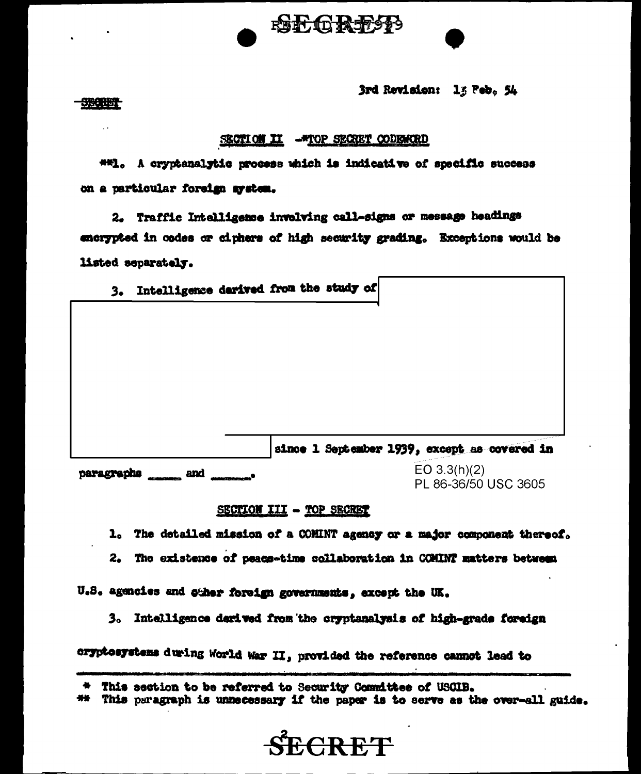3rd Revision: 13 Feb. 54

SBOREST

#### SECTION II -\* TOP SECRET CODENCED

RENT TO REFLESS

##1. A cryptanalytic process which is indicative of specific success on a particular foreign mystem.

2. Traffic Intelligence involving call-signs or message headings encrypted in codes or ciphers of high security grading. Exceptions would be listed separately.

3. Intelligence darived from the study of

since 1 September 1939, except as covered in  $EO 3.3(h)(2)$ paragraphs \_\_\_\_ and \_\_\_\_\_\_.

PL 86-36/50 USC 3605

#### SECTION III - TOP SECRET

1. The detailed mission of a COMINT agency or a major component thereof.

2. The existence of peace-time collaboration in COMINT matters between

U.S. agencies and caher foreign governments, except the UK.

3. Intelligence derived from the cryptanalysis of high-grade foreign

cryptosystems during World War II, provided the reference cannot lead to

## This paragraph is unnecessary if the paper is to serve as the over-all guide.



<sup>\*</sup> This section to be referred to Security Committee of USCIB.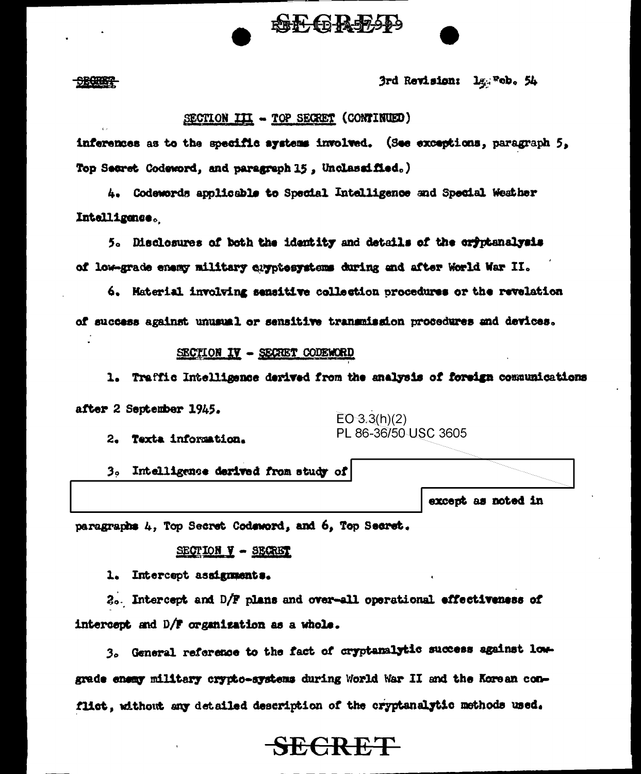

**SECRETE** 

3rd Revision: 14: Feb. 54

## SECTION III - TOP SECRET (CONTINUED)

inferences as to the specific systems involved. (See exceptions, paragraph 5, Top Secret Codeword, and paragraph 15, Unclassified.)

4. Codewords applicable to Special Intelligence and Special Weather Intelligence.

5. Disclosures of both the identity and details of the oryptanalysis of low-grade enemy military cuyptosystems during and after World War II.

6. Material involving sensitive collection procedures or the revelation of success against unusual or sensitive transmission procedures and devices.

#### SECTION IV - SECRET CODEWORD

1. Traffic Intelligence derived from the analysis of foreign communications after 2 September 1945.

2. Texta information.

 $EO 3.3(h)(2)$ PL 86-36/50 USC 3605

3. Intelligence derived from study of

except as noted in

paragraphs 4, Top Secret Codeword, and 6, Top Secret.

#### $SECTION - SEGRBT$

1. Intercept assignments.

 $2<sub>0</sub>$ . Intercept and  $D/F$  plans and over-all operational effectiveness of intercept and D/F organization as a whole.

3. General reference to the fact of cryptanalytic success against lowgrade enemy military crypto-systems during World War II and the Korean conflict, without any detailed description of the cryptanalytic methods used.

**SECRET**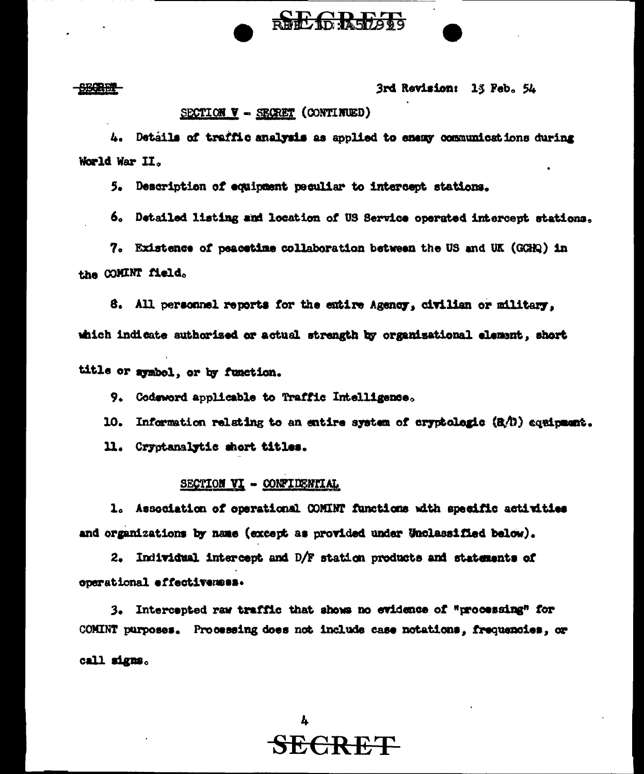<del>- 930 R D T</del>

### 3rd Revision: 13 Feb. 54

## SECTION V - SECRET (CONTINUED)

4. Details of traffic analysis as applied to enemy communications during World War II.

RECTA R57293

5. Description of equipment peculiar to intercept stations.

6. Detailed listing and location of US Service operated intercept stations.

7. Existence of peacetime collaboration between the US and UK (GGHQ) in the COMINT field.

8. All personnel reports for the entire Agency, civilian or military, which indicate authorized or actual strength by organizational element, short

title or symbol, or by function.

9. Codeword applicable to Traffic Intelligence.

10. Information relating to an entire system of cryptologic (RA) conformant.

11. Cryptanalytic short titles.

## SECTION VI - CONFIDENTIAL

1. Association of operational COMINT functions with specific activities and organizations by name (except as provided under Unclassified below).

2. Individual intercept and D/F station products and statements of operational effectivemes.

3. Intercepted raw traffic that shows no evidence of "processing" for COMINT purposes. Processing does not include case notations, frequencies, or

call signs.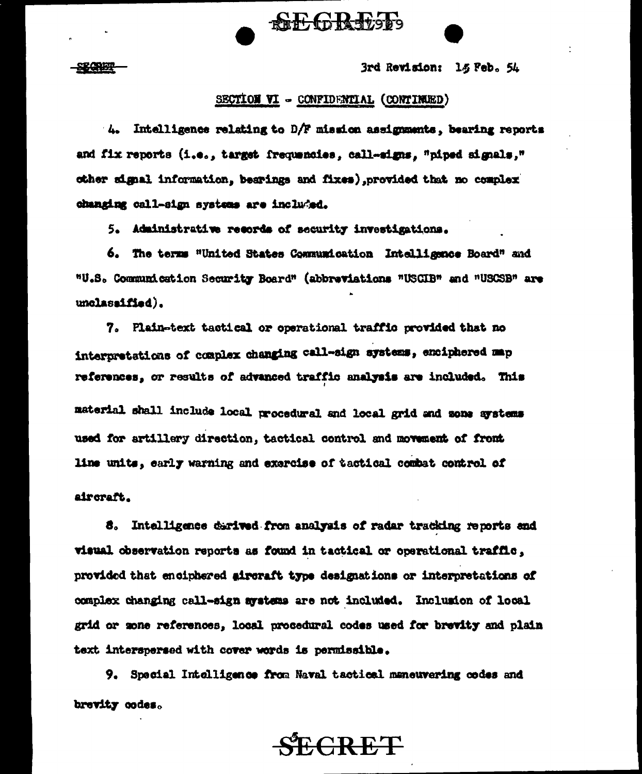3rd Revision: 15 Feb. 54

#### SECTION VI - CONFIDENTIAL (CONTINEED)

**RECRETZE** 

 $4.$  Intelligence relating to D/F mission assignments, bearing reports and fix reports (i.e., target frequencies, call-signs, "piped signals," other signal information, bearings and fixes), provided that no complex changing call-sign systems are included.

5. Administrative records of security investigations.

6. The terms "United States Communication Intelligence Board" and "U.S. Communication Security Board" (abbreviations "USCIB" and "USCSB" are unclassified).

7. Plain-text tactical or operational traffic provided that no interpretations of complex changing call-sign systems, enciphered map references, or results of advanced traffic analysis are included. This material shall include local procedural and local grid and some systems used for artillery direction, tactical control and movement of front line units, early warning and exercise of tactical combat control of aircraft.

8. Intelligence durived from analysis of radar tracking reports and visual observation reports as found in tactical or operational traffle, provided that enciphered aircraft type designations or interpretations of complex changing call-sign systems are not included. Inclusion of local grid or mone references. local procedural codes used for brevity and plain text interspersed with cover words is permissible.

9. Special Intelligence from Naval tactical maneuvering codes and brevity codes.

# **ECRET**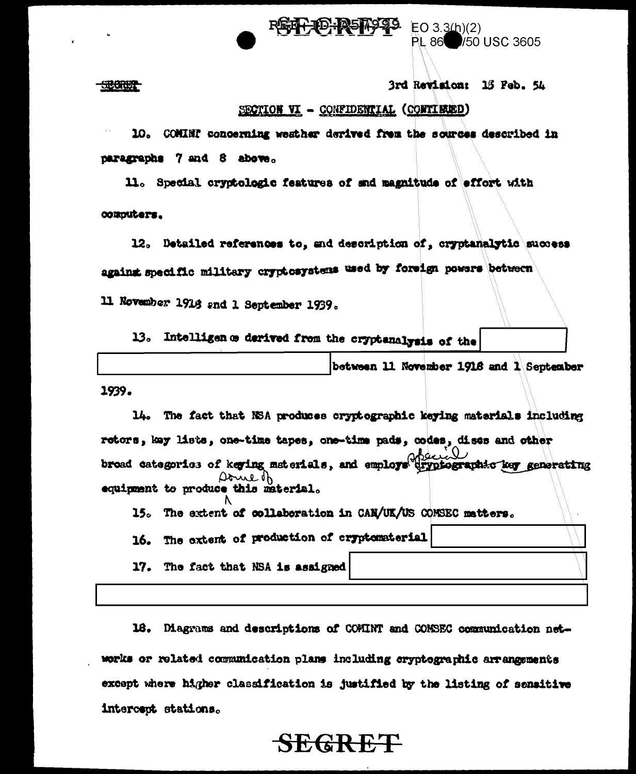

<del>53800007</del>

3rd Revision: 15 Feb. 54

/50 USC 3605

**PL 86** 

## SECTION VI - CONFIDENTIAL (CONTINUED)

10. COMINT concerning weather derived from the sources described in paragraphs 7 and 8 above.

11. Special cryptologic features of and magnitude of effort with computers.

12. Detailed references to, and description of, cryptanalytic success against specific military cryptesystems used by foreign powers between

11 November 1916 and 1 September 1939.

Intelligen a derived from the cryptenalysis of the 13.

between 11 November 1916 and 1 September

1939.

14. The fact that NSA produces cryptographic keying materials including retors, key lists, one-time tapes, one-time pads, codes, dises and other broad categories of keying materials, and employs dryptographic key generating Doneth equipment to produce this material.

15. The extent of collaboration in CAN/UK/US COMSEC matters.

16. The extent of production of cryptomaterial

17. The fact that NSA is assigned

18. Diagrams and descriptions of COMINT and COMSEC communication networks or related communication plans including cryptographic arrangements except where higher classification is justified by the listing of sensitive intercept stations.

# **SEGRET**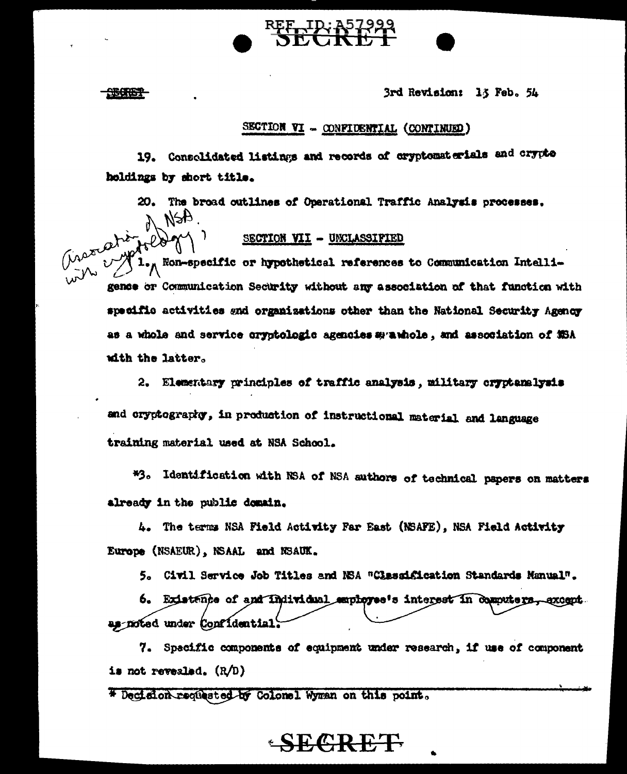3rd Revision: 13 Feb. 54

## SECTION VI - CONFIDENTIAL (CONTINUED)

19. Consolidated listings and records of cryptomaterials and crypto holdings by short title.

20. The broad outlines of Operational Traffic Analysis processes.  $A$ 

## SECTION VII - UNCLASSIFIED

Circumstion  $\int \mathbf{1}_{\bullet}$  Non-specific or hypothetical references to Communication Intelligence or Communication Security without any association of that function with specific activities and organizations other than the National Security Agency as a whole and service cryptologic agencies syawhole, and association of MSA with the latter.

2. Elementary principles of traffic analysis, military cryptanalysis and cryptography, in production of instructional material and language training material used at NSA School.

\*3. Identification with NSA of NSA authors of technical papers on matters already in the public domain.

4. The terms NSA Field Activity Far East (NSAFE), NSA Field Activity Europe (NSAEUR), NSAAL and NSAUK.

5. Civil Service Job Titles and NSA "Classification Standards Manual".

6. Existence of and Individual employee's interest in computers, axogot. as noted under Confidential.

7. Specific components of equipment under research, if use of component is not revealed.  $(R/D)$ 

 $-$ SECRET

\* Decidion requested by Colonel Wyman on this point.

#### 259657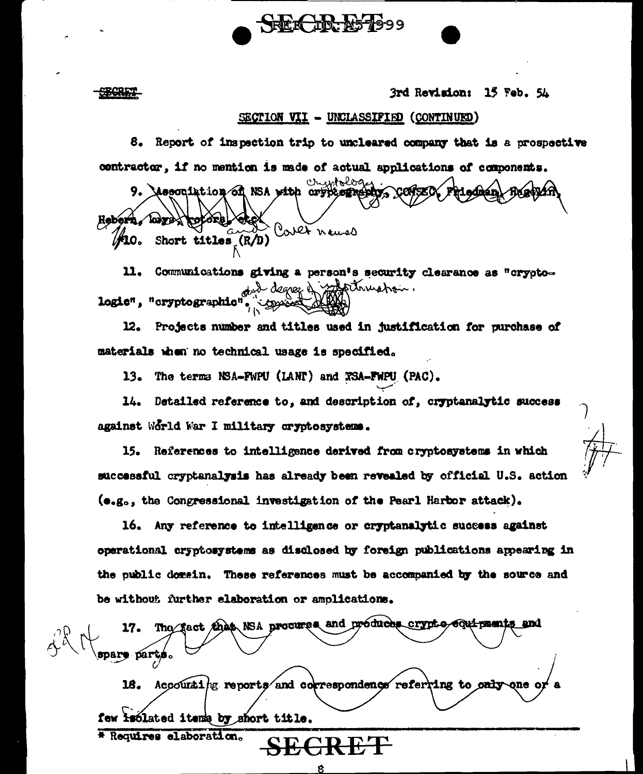3rd Revision: 15 Feb. 54

#### SECTION VII - UNCLASSIFIED (CONTINUED)

8. Report of inspection trip to uncleared company that is a prospective contractor, if no mention is made of actual applications of components.

SEECER: E57999

cruntology 9. Mesoniation of NSA with crypternation Hebern, koze rotore Cover names Short titles  $(R/D)$  $\mathcal{V}$ 10.

Communications giving a person's security clearance as "crypto-11. did degree of manuation. logie", "cryptographic"

Projects number and titles used in justification for purchase of 12. materials when no technical usage is specified.

13. The terms NSA-FWPU (LANP) and XSA-FWPU (PAC).

Detailed reference to, and description of, cryptanalytic success 14. against World War I military cryptosystems.

15. References to intelligence derived from cryptosystems in which successful cryptanalysis has already been revealed by official U.S. action (e.g., the Congressional investigation of the Pearl Harbor attack).

16. Any reference to intelligence or cryptanalytic success against operational cryptosystems as disclosed by foreign publications appearing in the public domain. These references must be accompanied by the source and be without further elaboration or amplications.

The fact that NSA procures and produces crypto equipments and 17. spare parts.

Accounting reports and correspondence referring to only 18. nne

SEGRET

few isolated items by short title.

\* Requires elaboration.

**SECRET**